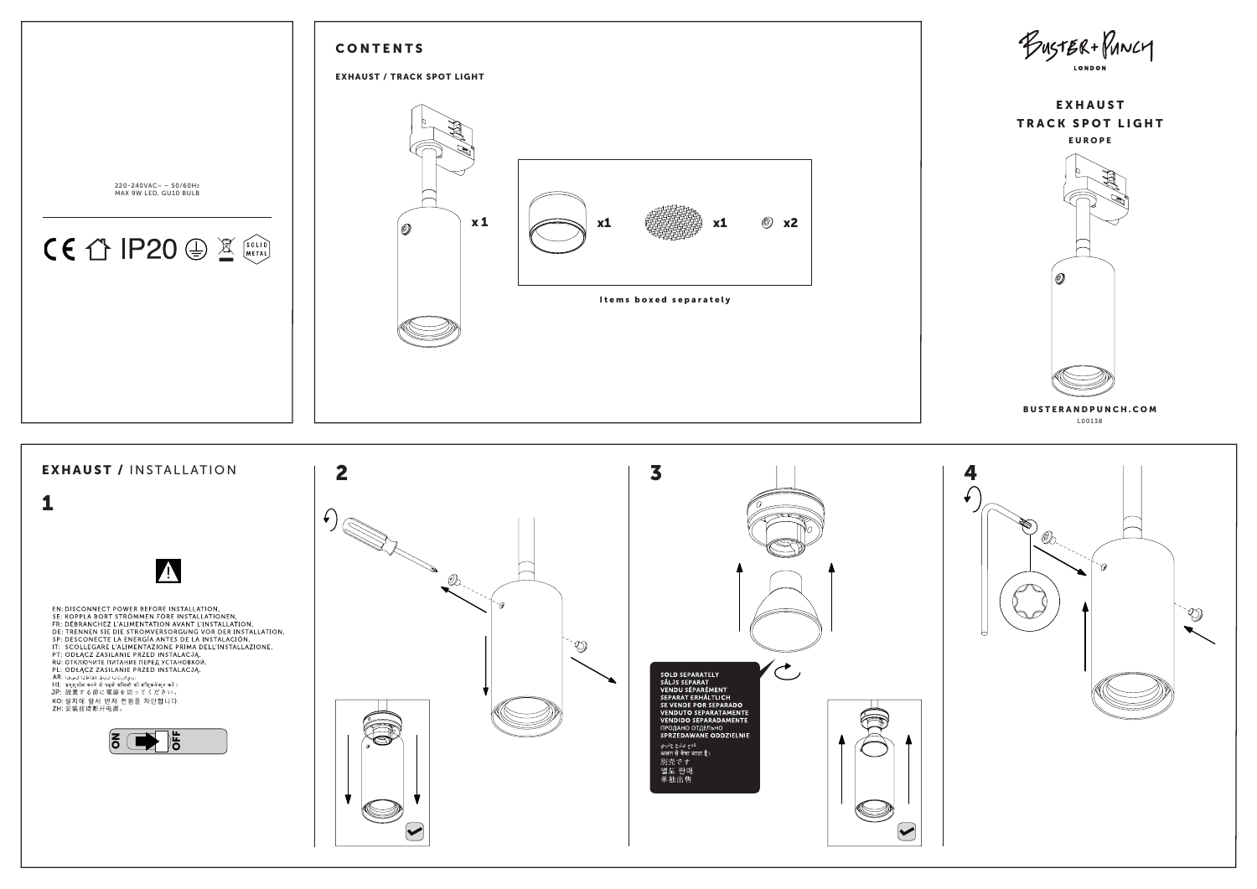

L00138 BUSTERANDPUNCH.COM



BUSTER+PUNCY **LONDON**